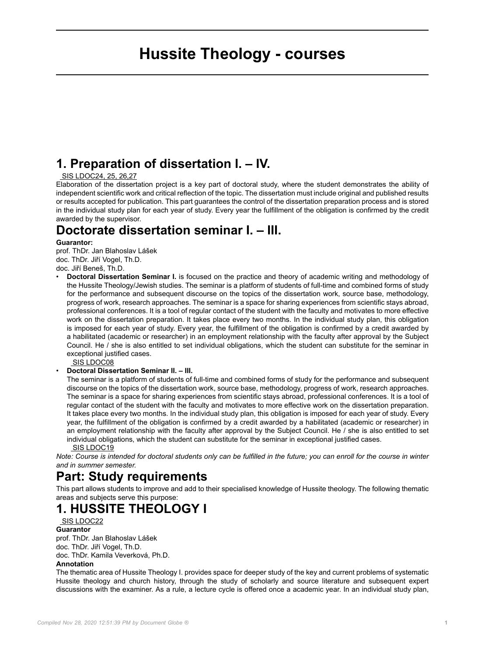# **Hussite Theology - courses**

# **1. Preparation of dissertation I. – IV.**

#### [SIS LDOC24, 25, 26,27](https://is.cuni.cz/studium/eng/predmety/index.php?id=779c7b48f927277d1200b59fbd3cb1d9&tid=&do=predmet&kod=LDOC18)

Elaboration of the dissertation project is a key part of doctoral study, where the student demonstrates the ability of independent scientific work and critical reflection of the topic. The dissertation must include original and published results or results accepted for publication. This part guarantees the control of the dissertation preparation process and is stored in the individual study plan for each year of study. Every year the fulfillment of the obligation is confirmed by the credit awarded by the supervisor.

# **Doctorate dissertation seminar I. – III.**

#### **Guarantor:**

prof. ThDr. Jan Blahoslav Lášek doc. ThDr. Jiří Vogel, Th.D. doc. Jiří Beneš, Th.D.

• **Doctoral Dissertation Seminar I.** is focused on the practice and theory of academic writing and methodology of the Hussite Theology/Jewish studies. The seminar is a platform of students of full-time and combined forms of study for the performance and subsequent discourse on the topics of the dissertation work, source base, methodology, progress of work, research approaches. The seminar is a space for sharing experiences from scientific stays abroad, professional conferences. It is a tool of regular contact of the student with the faculty and motivates to more effective work on the dissertation preparation. It takes place every two months. In the individual study plan, this obligation is imposed for each year of study. Every year, the fulfillment of the obligation is confirmed by a credit awarded by a habilitated (academic or researcher) in an employment relationship with the faculty after approval by the Subject Council. He / she is also entitled to set individual obligations, which the student can substitute for the seminar in exceptional justified cases.

 [SIS LDOC08](https://is.cuni.cz/studium/eng/predmety/index.php?id=779c7b48f927277d1200b59fbd3cb1d9&tid=&do=predmet&kod=LDOC18)

#### • **Doctoral Dissertation Seminar II. – III.**

The seminar is a platform of students of full-time and combined forms of study for the performance and subsequent discourse on the topics of the dissertation work, source base, methodology, progress of work, research approaches. The seminar is a space for sharing experiences from scientific stays abroad, professional conferences. It is a tool of regular contact of the student with the faculty and motivates to more effective work on the dissertation preparation. It takes place every two months. In the individual study plan, this obligation is imposed for each year of study. Every year, the fulfillment of the obligation is confirmed by a credit awarded by a habilitated (academic or researcher) in an employment relationship with the faculty after approval by the Subject Council. He / she is also entitled to set individual obligations, which the student can substitute for the seminar in exceptional justified cases.  [SIS LDOC19](https://is.cuni.cz/studium/eng/predmety/index.php?id=779c7b48f927277d1200b59fbd3cb1d9&tid=&do=predmet&kod=LDOC19)

*Note: Course is intended for doctoral students only can be fulfilled in the future; you can enroll for the course in winter and in summer semester.*

### **Part: Study requirements**

This part allows students to improve and add to their specialised knowledge of Hussite theology. The following thematic areas and subjects serve this purpose:

# **1. HUSSITE THEOLOGY I**

#### [SIS LDOC22](https://is.cuni.cz/studium/eng/predmety/index.php?id=779c7b48f927277d1200b59fbd3cb1d9&tid=&do=predmet&kod=LDOC22) **Guarantor** prof. ThDr. Jan Blahoslav Lášek

doc. ThDr. Jiří Vogel, Th.D. doc. ThDr. Kamila Veverková, Ph.D. **Annotation**

The thematic area of Hussite Theology I. provides space for deeper study of the key and current problems of systematic Hussite theology and church history, through the study of scholarly and source literature and subsequent expert discussions with the examiner. As a rule, a lecture cycle is offered once a academic year. In an individual study plan,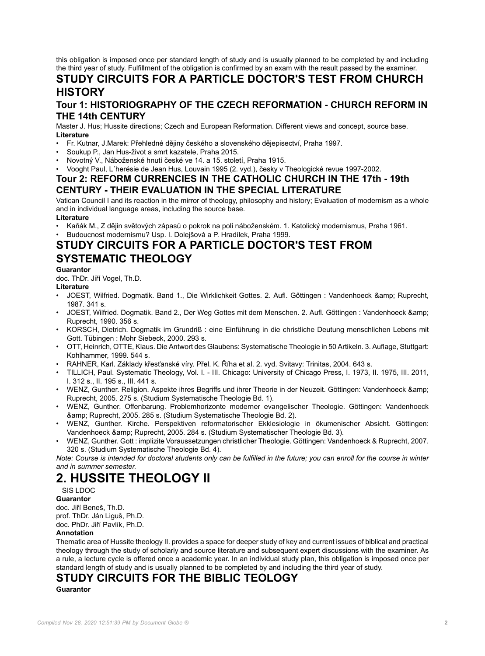this obligation is imposed once per standard length of study and is usually planned to be completed by and including the third year of study. Fulfillment of the obligation is confirmed by an exam with the result passed by the examiner.

# **STUDY CIRCUITS FOR A PARTICLE DOCTOR'S TEST FROM CHURCH HISTORY**

### **Tour 1: HISTORIOGRAPHY OF THE CZECH REFORMATION - CHURCH REFORM IN THE 14th CENTURY**

Master J. Hus; Hussite directions; Czech and European Reformation. Different views and concept, source base. **Literature**

- Fr. Kutnar, J.Marek: Přehledné dějiny českého a slovenského dějepisectví, Praha 1997.
- Soukup P., Jan Hus-život a smrt kazatele, Praha 2015.
- Novotný V., Náboženské hnutí české ve 14. a 15. století, Praha 1915.
- Vooght Paul, L´herésie de Jean Hus, Louvain 1995 (2. vyd.), česky v Theologické revue 1997-2002.

#### **Tour 2: REFORM CURRENCIES IN THE CATHOLIC CHURCH IN THE 17th - 19th CENTURY - THEIR EVALUATION IN THE SPECIAL LITERATURE**

Vatican Council I and its reaction in the mirror of theology, philosophy and history; Evaluation of modernism as a whole and in individual language areas, including the source base.

#### **Literature**

- Kaňák M., Z dějin světových zápasů o pokrok na poli náboženském. 1. Katolický modernismus, Praha 1961.
- Budoucnost modernismu? Usp. I. Dolejšová a P. Hradílek, Praha 1999.

# **STUDY CIRCUITS FOR A PARTICLE DOCTOR'S TEST FROM SYSTEMATIC THEOLOGY**

#### **Guarantor**

doc. ThDr. Jiří Vogel, Th.D.

#### **Literature**

- JOEST, Wilfried. Dogmatik. Band 1., Die Wirklichkeit Gottes. 2. Aufl. Göttingen : Vandenhoeck & amp; Ruprecht, 1987. 341 s.
- JOEST, Wilfried. Dogmatik. Band 2., Der Weg Gottes mit dem Menschen. 2. Aufl. Gőttingen : Vandenhoeck & Ruprecht, 1990. 356 s.
- KORSCH, Dietrich. Dogmatik im Grundriß : eine Einführung in die christliche Deutung menschlichen Lebens mit Gott. Tübingen : Mohr Siebeck, 2000. 293 s.
- OTT, Heinrich, OTTE, Klaus. Die Antwort des Glaubens: Systematische Theologie in 50 Artikeln. 3. Auflage, Stuttgart: Kohlhammer, 1999. 544 s.
- RAHNER, Karl. Základy křesťanské víry. Přel. K. Říha et al. 2. vyd. Svitavy: Trinitas, 2004. 643 s.
- TILLICH, Paul. Systematic Theology, Vol. I. III. Chicago: University of Chicago Press, I. 1973, II. 1975, III. 2011, I. 312 s., II. 195 s., III. 441 s.
- WENZ, Gunther. Religion. Aspekte ihres Begriffs und ihrer Theorie in der Neuzeit. Göttingen: Vandenhoeck & Ruprecht, 2005. 275 s. (Studium Systematische Theologie Bd. 1).
- WENZ, Gunther. Offenbarung. Problemhorizonte moderner evangelischer Theologie. Göttingen: Vandenhoeck & amp; Ruprecht, 2005. 285 s. (Studium Systematische Theologie Bd. 2).
- WENZ, Gunther. Kirche. Perspektiven reformatorischer Ekklesiologie in ökumenischer Absicht. Göttingen: Vandenhoeck & amp; Ruprecht, 2005. 284 s. (Studium Systematischer Theologie Bd. 3).
- WENZ, Gunther. Gott : implizite Voraussetzungen christlicher Theologie. Göttingen: Vandenhoeck & Ruprecht, 2007. 320 s. (Studium Systematische Theologie Bd. 4).

*Note: Course is intended for doctoral students only can be fulfilled in the future; you can enroll for the course in winter and in summer semester.*

# **2. HUSSITE THEOLOGY II**

#### [SIS LDOC](https://is.cuni.cz/studium/eng/predmety/index.php?id=779c7b48f927277d1200b59fbd3cb1d9&tid=&do=predmet&kod=LDOC23)

**Guarantor** doc. Jiří Beneš, Th.D. prof. ThDr. Ján Liguš, Ph.D. doc. PhDr. Jiří Pavlík, Ph.D.

#### **Annotation**

Thematic area of Hussite theology II. provides a space for deeper study of key and current issues of biblical and practical theology through the study of scholarly and source literature and subsequent expert discussions with the examiner. As a rule, a lecture cycle is offered once a academic year. In an individual study plan, this obligation is imposed once per standard length of study and is usually planned to be completed by and including the third year of study.

### **STUDY CIRCUITS FOR THE BIBLIC TEOLOGY**

**Guarantor**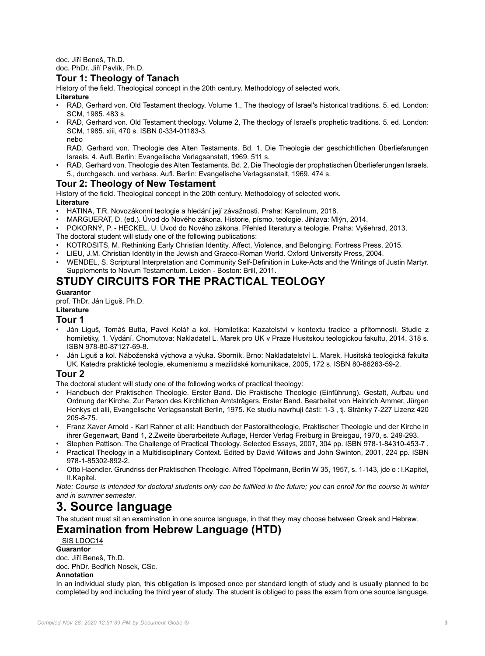doc. Jiří Beneš, Th.D. doc. PhDr. Jiří Pavlík, Ph.D.

# **Tour 1: Theology of Tanach**

History of the field. Theological concept in the 20th century. Methodology of selected work.

#### **Literature**

- RAD, Gerhard von. Old Testament theology. Volume 1., The theology of Israel's historical traditions. 5. ed. London: SCM, 1985. 483 s.
- RAD, Gerhard von. Old Testament theology. Volume 2, The theology of Israel's prophetic traditions. 5. ed. London: SCM, 1985. xiii, 470 s. ISBN 0-334-01183-3. nebo

RAD, Gerhard von. Theologie des Alten Testaments. Bd. 1, Die Theologie der geschichtlichen Überliefsrungen Israels. 4. Aufl. Berlin: Evangelische Verlagsanstalt, 1969. 511 s.

• RAD, Gerhard von. Theologie des Alten Testaments. Bd. 2, Die Theologie der prophatischen Überlieferungen Israels. 5., durchgesch. und verbass. Aufl. Berlin: Evangelische Verlagsanstalt, 1969. 474 s.

#### **Tour 2: Theology of New Testament**

History of the field. Theological concept in the 20th century. Methodology of selected work. **Literature**

- HATINA, T.R. Novozákonní teologie a hledání její závažnosti. Praha: Karolinum, 2018.
- MARGUERAT, D. (ed.). Úvod do Nového zákona. Historie, písmo, teologie. Jihlava: Mlýn, 2014.
- POKORNÝ, P. HECKEL, U. Úvod do Nového zákona. Přehled literatury a teologie. Praha: Vyšehrad, 2013.
- The doctoral student will study one of the following publications:
- KOTROSITS, M. Rethinking Early Christian Identity. Affect, Violence, and Belonging. Fortress Press, 2015.
- LIEU, J.M. Christian Identity in the Jewish and Graeco-Roman World. Oxford University Press, 2004.
- WENDEL, S. Scriptural Interpretation and Community Self-Definition in Luke-Acts and the Writings of Justin Martyr. Supplements to Novum Testamentum. Leiden - Boston: Brill, 2011.

# **STUDY CIRCUITS FOR THE PRACTICAL TEOLOGY**

#### **Guarantor**

prof. ThDr. Ján Liguš, Ph.D.

#### **Literature**

#### **Tour 1**

- Ján Liguš, Tomáš Butta, Pavel Kolář a kol. Homiletika: Kazatelství v kontextu tradice a přítomnosti. Studie z homiletiky, 1. Vydání. Chomutova: Nakladatel L. Marek pro UK v Praze Husitskou teologickou fakultu, 2014, 318 s. ISBN 978-80-87127-69-8.
- Ján Liguš a kol. Náboženská výchova a výuka. Sborník. Brno: Nakladatelství L. Marek, Husitská teologická fakulta UK. Katedra praktické teologie, ekumenismu a mezilidské komunikace, 2005, 172 s. ISBN 80-86263-59-2.

### **Tour 2**

The doctoral student will study one of the following works of practical theology:

- Handbuch der Praktischen Theologie. Erster Band. Die Praktische Theologie (Einführung). Gestalt, Aufbau und Ordnung der Kirche, Zur Person des Kirchlichen Amtsträgers, Erster Band. Bearbeitet von Heinrich Ammer, Jürgen Henkys et alii, Evangelische Verlagsanstalt Berlin, 1975. Ke studiu navrhuji části: 1-3 , tj. Stránky 7-227 Lizenz 420 205-8-75.
- Franz Xaver Arnold Karl Rahner et alii: Handbuch der Pastoraltheologie, Praktischer Theologie und der Kirche in ihrer Gegenwart, Band 1, 2.Zweite überarbeitete Auflage, Herder Verlag Freiburg in Breisgau, 1970, s. 249-293.
- Stephen Pattison. The Challenge of Practical Theology. Selected Essays, 2007, 304 pp. ISBN 978-1-84310-453-7 .
- Practical Theology in a Multidisciplinary Context. Edited by David Willows and John Swinton, 2001, 224 pp. ISBN 978-1-85302-892-2.
- Otto Haendler. Grundriss der Praktischen Theologie. Alfred Töpelmann, Berlin W 35, 1957, s. 1-143, jde o : I.Kapitel, II.Kapitel.

*Note: Course is intended for doctoral students only can be fulfilled in the future; you can enroll for the course in winter and in summer semester.*

# **3. Source language**

The student must sit an examination in one source language, in that they may choose between Greek and Hebrew.

### **Examination from Hebrew Language (HTD)**

 [SIS LDOC14](https://is.cuni.cz/studium/eng/predmety/index.php?id=779c7b48f927277d1200b59fbd3cb1d9&tid=&do=predmet&kod=LDOC14) **Guarantor** doc. Jiří Beneš, Th.D. doc. PhDr. Bedřich Nosek, CSc. **Annotation**

In an individual study plan, this obligation is imposed once per standard length of study and is usually planned to be completed by and including the third year of study. The student is obliged to pass the exam from one source language,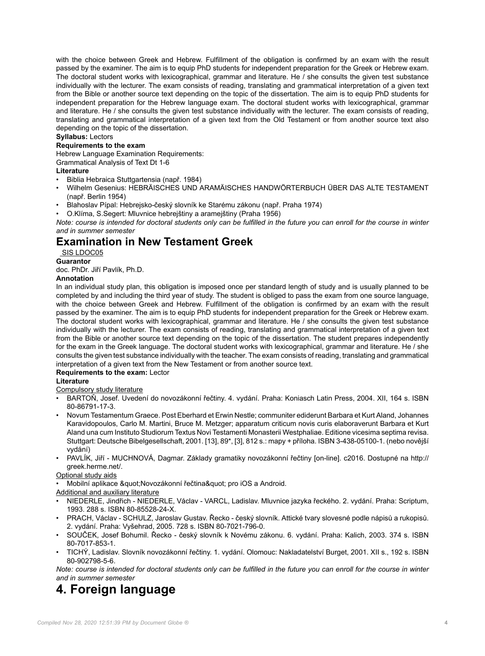with the choice between Greek and Hebrew. Fulfillment of the obligation is confirmed by an exam with the result passed by the examiner. The aim is to equip PhD students for independent preparation for the Greek or Hebrew exam. The doctoral student works with lexicographical, grammar and literature. He / she consults the given test substance individually with the lecturer. The exam consists of reading, translating and grammatical interpretation of a given text from the Bible or another source text depending on the topic of the dissertation. The aim is to equip PhD students for independent preparation for the Hebrew language exam. The doctoral student works with lexicographical, grammar and literature. He / she consults the given test substance individually with the lecturer. The exam consists of reading, translating and grammatical interpretation of a given text from the Old Testament or from another source text also depending on the topic of the dissertation.

#### **Syllabus:** Lectors

#### **Requirements to the exam**

Hebrew Language Examination Requirements:

#### Grammatical Analysis of Text Dt 1-6

#### **Literature**

- Biblia Hebraica Stuttgartensia (např. 1984)
- Wilhelm Gesenius: HEBRÄISCHES UND ARAMÄISCHES HANDWÖRTERBUCH ÜBER DAS ALTE TESTAMENT (např. Berlin 1954)
- Blahoslav Pípal: Hebrejsko-český slovník ke Starému zákonu (např. Praha 1974)
- O.Klíma, S.Segert: Mluvnice hebrejštiny a aramejštiny (Praha 1956)

*Note: course is intended for doctoral students only can be fulfilled in the future you can enroll for the course in winter and in summer semester*

# **Examination in New Testament Greek**

#### [SIS LDOC05](https://is.cuni.cz/studium/eng/predmety/index.php?id=779c7b48f927277d1200b59fbd3cb1d9&tid=&do=predmet&kod=LDOC05) **Guarantor**

doc. PhDr. Jiří Pavlík, Ph.D.

#### **Annotation**

In an individual study plan, this obligation is imposed once per standard length of study and is usually planned to be completed by and including the third year of study. The student is obliged to pass the exam from one source language, with the choice between Greek and Hebrew. Fulfillment of the obligation is confirmed by an exam with the result passed by the examiner. The aim is to equip PhD students for independent preparation for the Greek or Hebrew exam. The doctoral student works with lexicographical, grammar and literature. He / she consults the given test substance individually with the lecturer. The exam consists of reading, translating and grammatical interpretation of a given text from the Bible or another source text depending on the topic of the dissertation. The student prepares independently for the exam in the Greek language. The doctoral student works with lexicographical, grammar and literature. He / she consults the given test substance individually with the teacher. The exam consists of reading, translating and grammatical interpretation of a given text from the New Testament or from another source text.

#### **Requirements to the exam:** Lector

#### **Literature**

Compulsory study literature

- BARTOŇ, Josef. Uvedení do novozákonní řečtiny. 4. vydání. Praha: Koniasch Latin Press, 2004. XII, 164 s. ISBN 80-86791-17-3.
- Novum Testamentum Graece. Post Eberhard et Erwin Nestle; communiter ediderunt Barbara et Kurt Aland, Johannes Karavidopoulos, Carlo M. Martini, Bruce M. Metzger; apparatum criticum novis curis elaboraverunt Barbara et Kurt Aland una cum Instituto Studiorum Textus Novi Testamenti Monasterii Westphaliae. Editione vicesima septima revisa. Stuttgart: Deutsche Bibelgesellschaft, 2001. [13], 89\*, [3], 812 s.: mapy + příloha. ISBN 3-438-05100-1. (nebo novější vydání)
- PAVLÍK, Jiří MUCHNOVÁ, Dagmar. Základy gramatiky novozákonní řečtiny [on-line]. c2016. Dostupné na http:// greek.herme.net/.

Optional study aids

Mobilní aplikace &quot: Novozákonní řečtina " pro iOS a Android.

Additional and auxiliary literature

- NIEDERLE, Jindřich NIEDERLE, Václav VARCL, Ladislav. Mluvnice jazyka řeckého. 2. vydání. Praha: Scriptum, 1993. 288 s. ISBN 80-85528-24-X.
- PRACH, Václav SCHULZ, Jaroslav Gustav. Řecko český slovník. Attické tvary slovesné podle nápisů a rukopisů. 2. vydání. Praha: Vyšehrad, 2005. 728 s. ISBN 80-7021-796-0.
- SOUČEK, Josef Bohumil. Řecko český slovník k Novému zákonu. 6. vydání. Praha: Kalich, 2003. 374 s. ISBN 80-7017-853-1.
- TICHÝ, Ladislav. Slovník novozákonní řečtiny. 1. vydání. Olomouc: Nakladatelství Burget, 2001. XII s., 192 s. ISBN 80-902798-5-6.

*Note: course is intended for doctoral students only can be fulfilled in the future you can enroll for the course in winter and in summer semester*

# **4. Foreign language**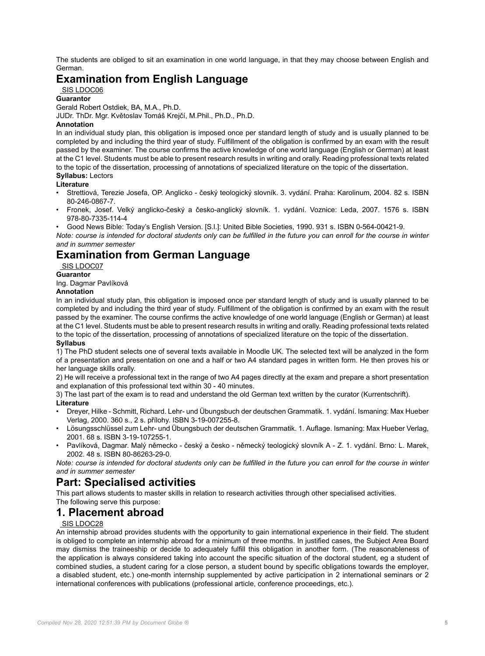The students are obliged to sit an examination in one world language, in that they may choose between English and German.

# **Examination from English Language**

#### [SIS LDOC06](https://is.cuni.cz/studium/eng/predmety/index.php?id=779c7b48f927277d1200b59fbd3cb1d9&tid=&do=predmet&kod=LDOC06)

**Guarantor**

Gerald Robert Ostdiek, BA, M.A., Ph.D. JUDr. ThDr. Mgr. Květoslav Tomáš Krejčí, M.Phil., Ph.D., Ph.D.

#### **Annotation**

In an individual study plan, this obligation is imposed once per standard length of study and is usually planned to be completed by and including the third year of study. Fulfillment of the obligation is confirmed by an exam with the result passed by the examiner. The course confirms the active knowledge of one world language (English or German) at least at the C1 level. Students must be able to present research results in writing and orally. Reading professional texts related to the topic of the dissertation, processing of annotations of specialized literature on the topic of the dissertation. **Syllabus:** Lectors

#### **Literature**

- Strettiová, Terezie Josefa, OP. Anglicko český teologický slovník. 3. vydání. Praha: Karolinum, 2004. 82 s. ISBN 80-246-0867-7.
- Fronek, Josef. Velký anglicko-český a česko-anglický slovník. 1. vydání. Voznice: Leda, 2007. 1576 s. ISBN 978-80-7335-114-4
- Good News Bible: Today's English Version. [S.l.]: United Bible Societies, 1990. 931 s. ISBN 0-564-00421-9.

*Note: course is intended for doctoral students only can be fulfilled in the future you can enroll for the course in winter and in summer semester*

# **Examination from German Language**

 [SIS LDOC07](https://is.cuni.cz/studium/eng/predmety/index.php?id=779c7b48f927277d1200b59fbd3cb1d9&tid=&do=predmet&kod=LDOC07)

#### **Guarantor**

Ing. Dagmar Pavlíková

#### **Annotation**

In an individual study plan, this obligation is imposed once per standard length of study and is usually planned to be completed by and including the third year of study. Fulfillment of the obligation is confirmed by an exam with the result passed by the examiner. The course confirms the active knowledge of one world language (English or German) at least at the C1 level. Students must be able to present research results in writing and orally. Reading professional texts related to the topic of the dissertation, processing of annotations of specialized literature on the topic of the dissertation. **Syllabus**

#### 1) The PhD student selects one of several texts available in Moodle UK. The selected text will be analyzed in the form of a presentation and presentation on one and a half or two A4 standard pages in written form. He then proves his or her language skills orally.

2) He will receive a professional text in the range of two A4 pages directly at the exam and prepare a short presentation and explanation of this professional text within 30 - 40 minutes.

3) The last part of the exam is to read and understand the old German text written by the curator (Kurrentschrift). **Literature**

- Dreyer, Hilke Schmitt, Richard. Lehr- und Übungsbuch der deutschen Grammatik. 1. vydání. Ismaning: Max Hueber Verlag, 2000. 360 s., 2 s. přílohy. ISBN 3-19-007255-8.
- Lösungsschlüssel zum Lehr- und Übungsbuch der deutschen Grammatik. 1. Auflage. Ismaning: Max Hueber Verlag, 2001. 68 s. ISBN 3-19-107255-1.
- Pavlíková, Dagmar. Malý německo český a česko německý teologický slovník A Z. 1. vydání. Brno: L. Marek, 2002. 48 s. ISBN 80-86263-29-0.

*Note: course is intended for doctoral students only can be fulfilled in the future you can enroll for the course in winter and in summer semester*

# **Part: Specialised activities**

This part allows students to master skills in relation to research activities through other specialised activities.

### The following serve this purpose:

# **1. Placement abroad**

#### [SIS LDOC28](https://is.cuni.cz/studium/eng/predmety/index.php?id=779c7b48f927277d1200b59fbd3cb1d9&tid=&do=predmet&kod=LDOC28)

An internship abroad provides students with the opportunity to gain international experience in their field. The student is obliged to complete an internship abroad for a minimum of three months. In justified cases, the Subject Area Board may dismiss the traineeship or decide to adequately fulfill this obligation in another form. (The reasonableness of the application is always considered taking into account the specific situation of the doctoral student, eg a student of combined studies, a student caring for a close person, a student bound by specific obligations towards the employer, a disabled student, etc.) one-month internship supplemented by active participation in 2 international seminars or 2 international conferences with publications (professional article, conference proceedings, etc.).